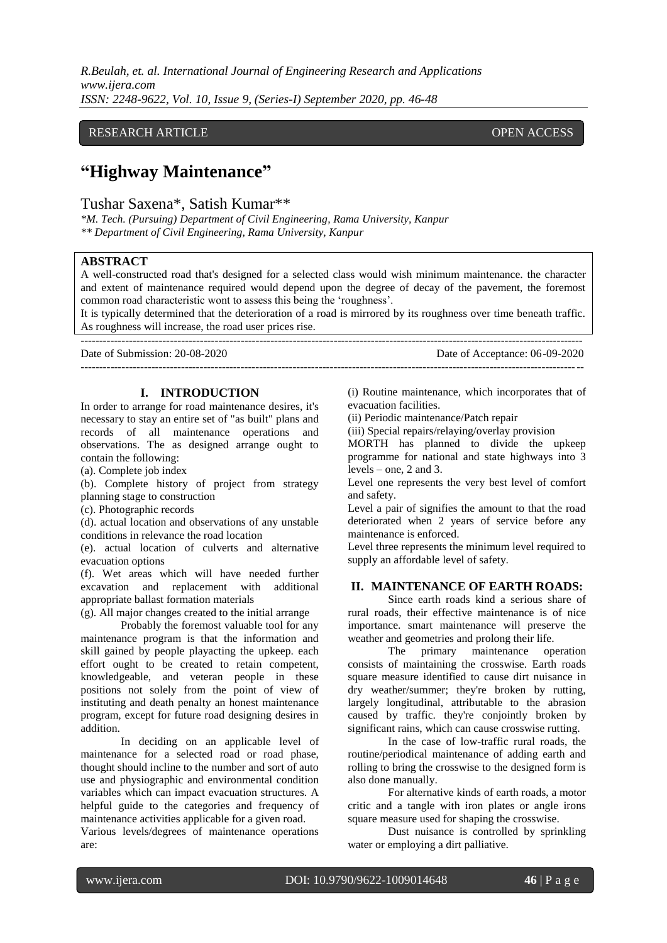*R.Beulah, et. al. International Journal of Engineering Research and Applications www.ijera.com ISSN: 2248-9622, Vol. 10, Issue 9, (Series-I) September 2020, pp. 46-48*

## RESEARCH ARTICLE **CONSERVERS** OPEN ACCESS

## **"Highway Maintenance"**

Tushar Saxena\*, Satish Kumar\*\*

*\*M. Tech. (Pursuing) Department of Civil Engineering, Rama University, Kanpur \*\* Department of Civil Engineering, Rama University, Kanpur*

## **ABSTRACT**

A well-constructed road that's designed for a selected class would wish minimum maintenance. the character and extent of maintenance required would depend upon the degree of decay of the pavement, the foremost common road characteristic wont to assess this being the "roughness".

It is typically determined that the deterioration of a road is mirrored by its roughness over time beneath traffic. As roughness will increase, the road user prices rise.

---------------------------------------------------------------------------------------------------------------------------------------

--------------------------------------------------------------------------------------------------------------------------------------- Date of Submission: 20-08-2020 Date of Acceptance: 06-09-2020

## **I. INTRODUCTION**

In order to arrange for road maintenance desires, it's necessary to stay an entire set of "as built" plans and records of all maintenance operations and observations. The as designed arrange ought to contain the following:

(a). Complete job index

(b). Complete history of project from strategy planning stage to construction

(c). Photographic records

(d). actual location and observations of any unstable conditions in relevance the road location

(e). actual location of culverts and alternative evacuation options

(f). Wet areas which will have needed further excavation and replacement with additional appropriate ballast formation materials

(g). All major changes created to the initial arrange

Probably the foremost valuable tool for any maintenance program is that the information and skill gained by people playacting the upkeep. each effort ought to be created to retain competent, knowledgeable, and veteran people in these positions not solely from the point of view of instituting and death penalty an honest maintenance program, except for future road designing desires in addition.

In deciding on an applicable level of maintenance for a selected road or road phase, thought should incline to the number and sort of auto use and physiographic and environmental condition variables which can impact evacuation structures. A helpful guide to the categories and frequency of maintenance activities applicable for a given road.

Various levels/degrees of maintenance operations are:

(i) Routine maintenance, which incorporates that of evacuation facilities.

(ii) Periodic maintenance/Patch repair

(iii) Special repairs/relaying/overlay provision

MORTH has planned to divide the upkeep programme for national and state highways into 3 levels – one, 2 and 3.

Level one represents the very best level of comfort and safety.

Level a pair of signifies the amount to that the road deteriorated when 2 years of service before any maintenance is enforced.

Level three represents the minimum level required to supply an affordable level of safety.

## **II. MAINTENANCE OF EARTH ROADS:**

Since earth roads kind a serious share of rural roads, their effective maintenance is of nice importance. smart maintenance will preserve the weather and geometries and prolong their life.

The primary maintenance operation consists of maintaining the crosswise. Earth roads square measure identified to cause dirt nuisance in dry weather/summer; they're broken by rutting, largely longitudinal, attributable to the abrasion caused by traffic. they're conjointly broken by significant rains, which can cause crosswise rutting.

In the case of low-traffic rural roads, the routine/periodical maintenance of adding earth and rolling to bring the crosswise to the designed form is also done manually.

For alternative kinds of earth roads, a motor critic and a tangle with iron plates or angle irons square measure used for shaping the crosswise.

Dust nuisance is controlled by sprinkling water or employing a dirt palliative.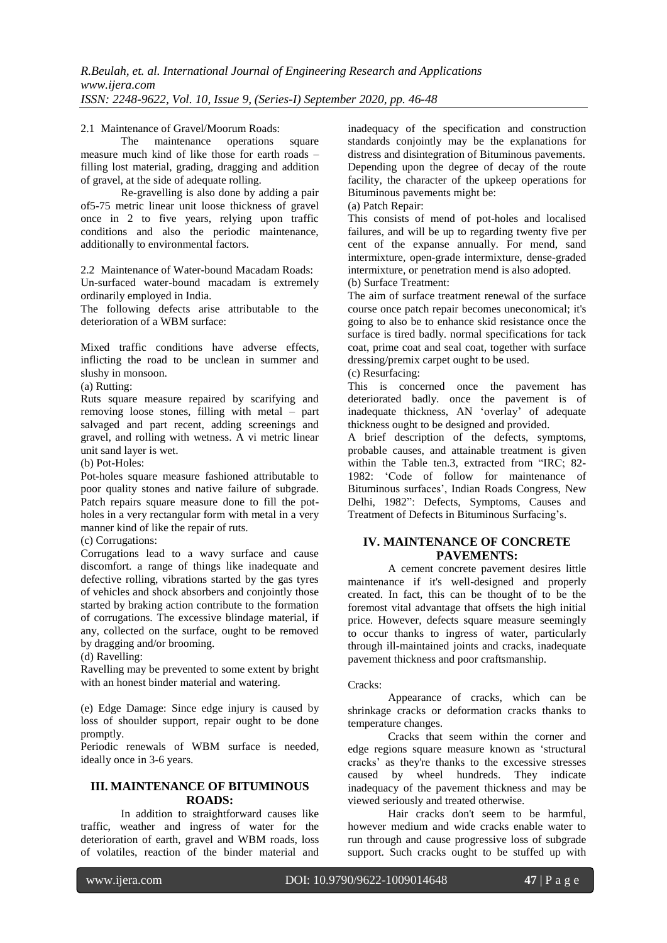# 2.1 Maintenance of Gravel/Moorum Roads:<br>The maintenance operations

maintenance operations square measure much kind of like those for earth roads – filling lost material, grading, dragging and addition of gravel, at the side of adequate rolling.

Re-gravelling is also done by adding a pair of5-75 metric linear unit loose thickness of gravel once in 2 to five years, relying upon traffic conditions and also the periodic maintenance, additionally to environmental factors.

2.2 Maintenance of Water-bound Macadam Roads: Un-surfaced water-bound macadam is extremely ordinarily employed in India.

The following defects arise attributable to the deterioration of a WBM surface:

Mixed traffic conditions have adverse effects, inflicting the road to be unclean in summer and slushy in monsoon.

(a) Rutting:

Ruts square measure repaired by scarifying and removing loose stones, filling with metal – part salvaged and part recent, adding screenings and gravel, and rolling with wetness. A vi metric linear unit sand layer is wet.

(b) Pot-Holes:

Pot-holes square measure fashioned attributable to poor quality stones and native failure of subgrade. Patch repairs square measure done to fill the potholes in a very rectangular form with metal in a very manner kind of like the repair of ruts.

(c) Corrugations:

Corrugations lead to a wavy surface and cause discomfort. a range of things like inadequate and defective rolling, vibrations started by the gas tyres of vehicles and shock absorbers and conjointly those started by braking action contribute to the formation of corrugations. The excessive blindage material, if any, collected on the surface, ought to be removed by dragging and/or brooming.

(d) Ravelling:

Ravelling may be prevented to some extent by bright with an honest binder material and watering.

(e) Edge Damage: Since edge injury is caused by loss of shoulder support, repair ought to be done promptly.

Periodic renewals of WBM surface is needed, ideally once in 3-6 years.

## **III. MAINTENANCE OF BITUMINOUS ROADS:**

In addition to straightforward causes like traffic, weather and ingress of water for the deterioration of earth, gravel and WBM roads, loss of volatiles, reaction of the binder material and

inadequacy of the specification and construction standards conjointly may be the explanations for distress and disintegration of Bituminous pavements. Depending upon the degree of decay of the route facility, the character of the upkeep operations for Bituminous pavements might be:

(a) Patch Repair:

This consists of mend of pot-holes and localised failures, and will be up to regarding twenty five per cent of the expanse annually. For mend, sand intermixture, open-grade intermixture, dense-graded intermixture, or penetration mend is also adopted. (b) Surface Treatment:

The aim of surface treatment renewal of the surface course once patch repair becomes uneconomical; it's going to also be to enhance skid resistance once the surface is tired badly. normal specifications for tack coat, prime coat and seal coat, together with surface dressing/premix carpet ought to be used.

(c) Resurfacing:

This is concerned once the pavement has deteriorated badly. once the pavement is of inadequate thickness, AN "overlay" of adequate thickness ought to be designed and provided.

A brief description of the defects, symptoms, probable causes, and attainable treatment is given within the Table ten.3, extracted from "IRC; 82-1982: "Code of follow for maintenance of Bituminous surfaces", Indian Roads Congress, New Delhi, 1982": Defects, Symptoms, Causes and Treatment of Defects in Bituminous Surfacing"s.

## **IV. MAINTENANCE OF CONCRETE PAVEMENTS:**

A cement concrete pavement desires little maintenance if it's well-designed and properly created. In fact, this can be thought of to be the foremost vital advantage that offsets the high initial price. However, defects square measure seemingly to occur thanks to ingress of water, particularly through ill-maintained joints and cracks, inadequate pavement thickness and poor craftsmanship.

Cracks:

Appearance of cracks, which can be shrinkage cracks or deformation cracks thanks to temperature changes.

Cracks that seem within the corner and edge regions square measure known as "structural cracks" as they're thanks to the excessive stresses caused by wheel hundreds. They indicate inadequacy of the pavement thickness and may be viewed seriously and treated otherwise.

Hair cracks don't seem to be harmful, however medium and wide cracks enable water to run through and cause progressive loss of subgrade support. Such cracks ought to be stuffed up with